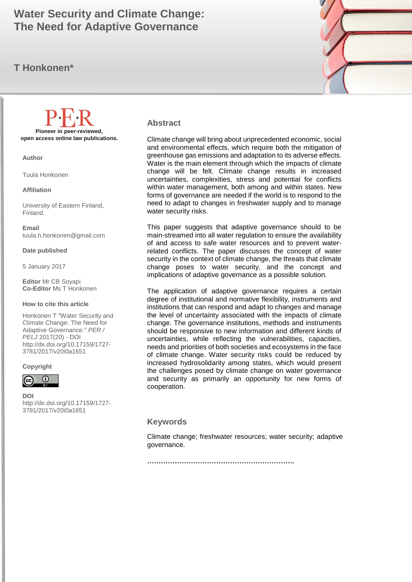# The Need for Adaptive Governance **The Need for Adaptive Governance Water Security and Climate Change:**

### **T Honkonen\***



#### **Abstract**

Climate change will bring about unprecedented economic, social and environmental effects, which require both the mitigation of greenhouse gas emissions and adaptation to its adverse effects. Water is the main element through which the impacts of climate change will be felt. Climate change results in increased uncertainties, complexities, stress and potential for conflicts within water management, both among and within states. New forms of governance are needed if the world is to respond to the need to adapt to changes in freshwater supply and to manage water security risks.

This paper suggests that adaptive governance should to be main-streamed into all water regulation to ensure the availability of and access to safe water resources and to prevent waterrelated conflicts. The paper discusses the concept of water security in the context of climate change, the threats that climate change poses to water security, and the concept and implications of adaptive governance as a possible solution.

The application of adaptive governance requires a certain degree of institutional and normative flexibility, instruments and institutions that can respond and adapt to changes and manage the level of uncertainty associated with the impacts of climate change. The governance institutions, methods and instruments should be responsive to new information and different kinds of uncertainties, while reflecting the vulnerabilities, capacities, needs and priorities of both societies and ecosystems in the face of climate change. Water security risks could be reduced by increased hydrosolidarity among states, which would present the challenges posed by climate change on water governance and security as primarily an opportunity for new forms of cooperation.

#### **Keywords**

Climate change; freshwater resources; water security; adaptive governance.

**……………………………………………………….**

**Pioneer in peer-reviewed, open access online law publications.**

**Author**

Tuula Honkonen

**Affiliation**

University of Eastern Finland, Finland.

**Email** tuula.h.honkonen@gmail.com

**Date published**

5 January 2017

**Editor** Mr CB Soyapi **Co-Editor** Ms T Honkonen

#### **How to cite this article**

Honkonen T "Water Security and Climate Change: The Need for Adaptive Governance." *PER / PELJ* 2017(20) - DOI http://dx.doi.org/10.17159/1727- 3781/2017/v20i0a[1651](http://journals.assaf.org.za/index.php/per/editor/submission/1160) 

#### **Copyright**



**DOI**  http://dx.doi.org/10.17159/1727- 3781/2017/v20i0a[1651](http://journals.assaf.org.za/index.php/per/editor/submission/1160)

.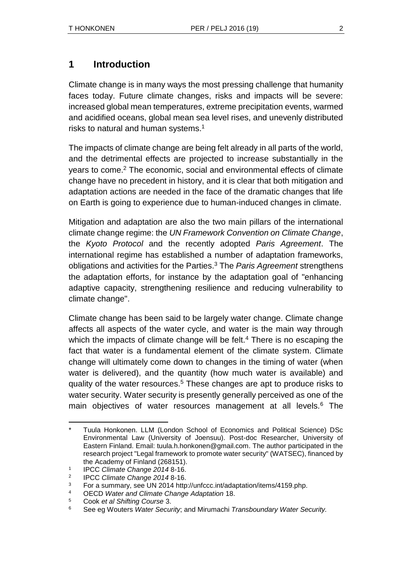### **1 Introduction**

Climate change is in many ways the most pressing challenge that humanity faces today. Future climate changes, risks and impacts will be severe: increased global mean temperatures, extreme precipitation events, warmed and acidified oceans, global mean sea level rises, and unevenly distributed risks to natural and human systems.<sup>1</sup>

The impacts of climate change are being felt already in all parts of the world, and the detrimental effects are projected to increase substantially in the years to come.<sup>2</sup> The economic, social and environmental effects of climate change have no precedent in history, and it is clear that both mitigation and adaptation actions are needed in the face of the dramatic changes that life on Earth is going to experience due to human-induced changes in climate.

Mitigation and adaptation are also the two main pillars of the international climate change regime: the *UN Framework Convention on Climate Change*, the *Kyoto Protocol* and the recently adopted *Paris Agreement*. The international regime has established a number of adaptation frameworks, obligations and activities for the Parties.<sup>3</sup> The *Paris Agreement* strengthens the adaptation efforts, for instance by the adaptation goal of "enhancing adaptive capacity, strengthening resilience and reducing vulnerability to climate change".

Climate change has been said to be largely water change. Climate change affects all aspects of the water cycle, and water is the main way through which the impacts of climate change will be felt.<sup>4</sup> There is no escaping the fact that water is a fundamental element of the climate system. Climate change will ultimately come down to changes in the timing of water (when water is delivered), and the quantity (how much water is available) and quality of the water resources.<sup>5</sup> These changes are apt to produce risks to water security. Water security is presently generally perceived as one of the main objectives of water resources management at all levels.<sup>6</sup> The

l Tuula Honkonen. LLM (London School of Economics and Political Science) DSc Environmental Law (University of Joensuu). Post-doc Researcher, University of Eastern Finland. Email: tuula.h.honkonen@gmail.com. The author participated in the research project "Legal framework to promote water security" (WATSEC), financed by the Academy of Finland (268151).

<sup>1</sup> IPCC *Climate Change 2014* 8-16.

 $\mathcal{L}$ IPCC *Climate Change 2014* 8-16.

<sup>&</sup>lt;sup>3</sup> For a summary, see UN 2014 http://unfccc.int/adaptation/items/4159.php.

<sup>4</sup> OECD *Water and Climate Change Adaptation* 18.

<sup>5</sup> Cook *et al Shifting Course* 3.

<sup>6</sup> See eg Wouters *Water Security*; and Mirumachi *Transboundary Water Security.*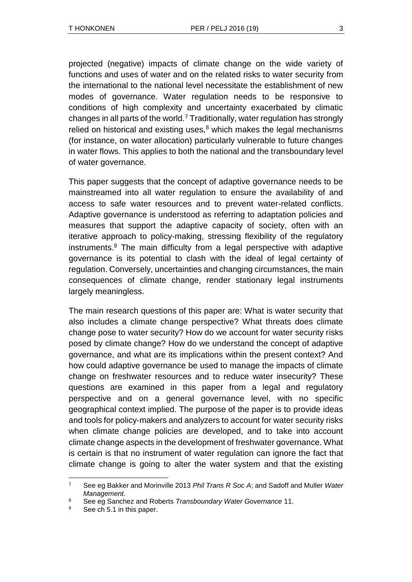projected (negative) impacts of climate change on the wide variety of functions and uses of water and on the related risks to water security from the international to the national level necessitate the establishment of new modes of governance. Water regulation needs to be responsive to conditions of high complexity and uncertainty exacerbated by climatic changes in all parts of the world.<sup>7</sup> Traditionally, water regulation has strongly relied on historical and existing uses, $8$  which makes the legal mechanisms (for instance, on water allocation) particularly vulnerable to future changes in water flows. This applies to both the national and the transboundary level of water governance.

This paper suggests that the concept of adaptive governance needs to be mainstreamed into all water regulation to ensure the availability of and access to safe water resources and to prevent water-related conflicts. Adaptive governance is understood as referring to adaptation policies and measures that support the adaptive capacity of society, often with an iterative approach to policy-making, stressing flexibility of the regulatory instruments.<sup>9</sup> The main difficulty from a legal perspective with adaptive governance is its potential to clash with the ideal of legal certainty of regulation. Conversely, uncertainties and changing circumstances, the main consequences of climate change, render stationary legal instruments largely meaningless.

The main research questions of this paper are: What is water security that also includes a climate change perspective? What threats does climate change pose to water security? How do we account for water security risks posed by climate change? How do we understand the concept of adaptive governance, and what are its implications within the present context? And how could adaptive governance be used to manage the impacts of climate change on freshwater resources and to reduce water insecurity? These questions are examined in this paper from a legal and regulatory perspective and on a general governance level, with no specific geographical context implied. The purpose of the paper is to provide ideas and tools for policy-makers and analyzers to account for water security risks when climate change policies are developed, and to take into account climate change aspects in the development of freshwater governance. What is certain is that no instrument of water regulation can ignore the fact that climate change is going to alter the water system and that the existing

l <sup>7</sup> See eg Bakker and Morinville 2013 *Phil Trans R Soc A*; and Sadoff and Muller *Water Management.*

<sup>8</sup> See eg Sanchez and Roberts *Transboundary Water Governance* 11.

See ch 5.1 in this paper.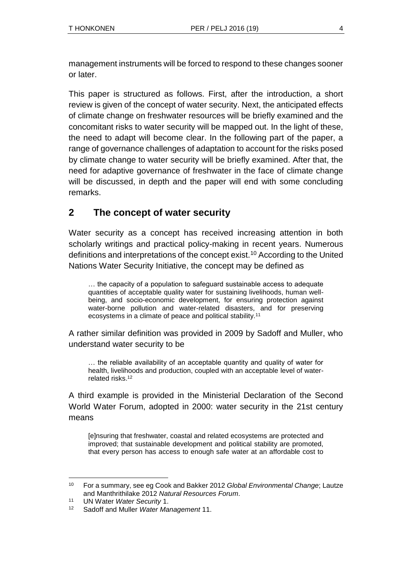management instruments will be forced to respond to these changes sooner or later.

This paper is structured as follows. First, after the introduction, a short review is given of the concept of water security. Next, the anticipated effects of climate change on freshwater resources will be briefly examined and the concomitant risks to water security will be mapped out. In the light of these, the need to adapt will become clear. In the following part of the paper, a range of governance challenges of adaptation to account for the risks posed by climate change to water security will be briefly examined. After that, the need for adaptive governance of freshwater in the face of climate change will be discussed, in depth and the paper will end with some concluding remarks.

### **2 The concept of water security**

Water security as a concept has received increasing attention in both scholarly writings and practical policy-making in recent years. Numerous definitions and interpretations of the concept exist.<sup>10</sup> According to the United Nations Water Security Initiative, the concept may be defined as

… the capacity of a population to safeguard sustainable access to adequate quantities of acceptable quality water for sustaining livelihoods, human wellbeing, and socio-economic development, for ensuring protection against water-borne pollution and water-related disasters, and for preserving ecosystems in a climate of peace and political stability.<sup>11</sup>

A rather similar definition was provided in 2009 by Sadoff and Muller, who understand water security to be

… the reliable availability of an acceptable quantity and quality of water for health, livelihoods and production, coupled with an acceptable level of waterrelated risks.<sup>12</sup>

A third example is provided in the Ministerial Declaration of the Second World Water Forum, adopted in 2000: water security in the 21st century means

[e]nsuring that freshwater, coastal and related ecosystems are protected and improved; that sustainable development and political stability are promoted, that every person has access to enough safe water at an affordable cost to

l <sup>10</sup> For a summary, see eg Cook and Bakker 2012 *Global Environmental Change*; Lautze and Manthrithilake 2012 *Natural Resources Forum*.

<sup>11</sup> UN Water *Water Security* 1.

<sup>12</sup> Sadoff and Muller *Water Management* 11.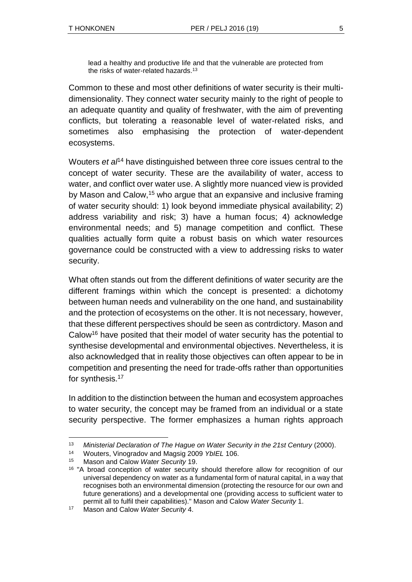lead a healthy and productive life and that the vulnerable are protected from the risks of water-related hazards.<sup>13</sup>

Common to these and most other definitions of water security is their multidimensionality. They connect water security mainly to the right of people to an adequate quantity and quality of freshwater, with the aim of preventing conflicts, but tolerating a reasonable level of water-related risks, and sometimes also emphasising the protection of water-dependent ecosystems.

Wouters *et al*<sup>14</sup> have distinguished between three core issues central to the concept of water security. These are the availability of water, access to water, and conflict over water use. A slightly more nuanced view is provided by Mason and Calow,<sup>15</sup> who argue that an expansive and inclusive framing of water security should: 1) look beyond immediate physical availability; 2) address variability and risk; 3) have a human focus; 4) acknowledge environmental needs; and 5) manage competition and conflict. These qualities actually form quite a robust basis on which water resources governance could be constructed with a view to addressing risks to water security.

What often stands out from the different definitions of water security are the different framings within which the concept is presented: a dichotomy between human needs and vulnerability on the one hand, and sustainability and the protection of ecosystems on the other. It is not necessary, however, that these different perspectives should be seen as contrdictory. Mason and Calow<sup>16</sup> have posited that their model of water security has the potential to synthesise developmental and environmental objectives. Nevertheless, it is also acknowledged that in reality those objectives can often appear to be in competition and presenting the need for trade-offs rather than opportunities for synthesis.<sup>17</sup>

In addition to the distinction between the human and ecosystem approaches to water security, the concept may be framed from an individual or a state security perspective. The former emphasizes a human rights approach

l

<sup>13</sup> *Ministerial Declaration of The Hague on Water Security in the 21st Century* (2000).

<sup>14</sup> Wouters, Vinogradov and Magsig 2009 *YbIEL* 106.

<sup>15</sup> Mason and Calow *Water Security* 19.

<sup>&</sup>lt;sup>16</sup> "A broad conception of water security should therefore allow for recognition of our universal dependency on water as a fundamental form of natural capital, in a way that recognises both an environmental dimension (protecting the resource for our own and future generations) and a developmental one (providing access to sufficient water to permit all to fulfil their capabilities)." Mason and Calow *Water Security* 1.

<sup>17</sup> Mason and Calow *Water Security* 4.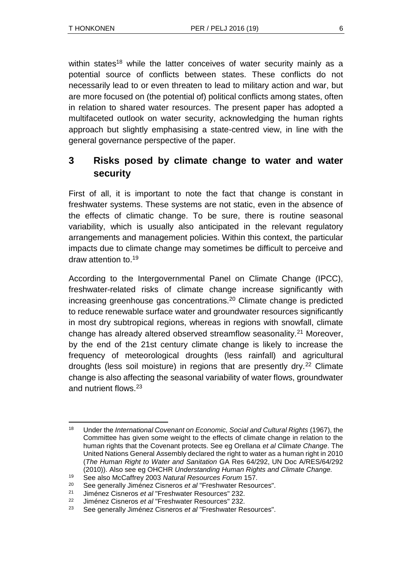within states<sup>18</sup> while the latter conceives of water security mainly as a potential source of conflicts between states. These conflicts do not necessarily lead to or even threaten to lead to military action and war, but are more focused on (the potential of) political conflicts among states, often in relation to shared water resources. The present paper has adopted a multifaceted outlook on water security, acknowledging the human rights approach but slightly emphasising a state-centred view, in line with the general governance perspective of the paper.

## **3 Risks posed by climate change to water and water security**

First of all, it is important to note the fact that change is constant in freshwater systems. These systems are not static, even in the absence of the effects of climatic change. To be sure, there is routine seasonal variability, which is usually also anticipated in the relevant regulatory arrangements and management policies. Within this context, the particular impacts due to climate change may sometimes be difficult to perceive and draw attention to.<sup>19</sup>

According to the Intergovernmental Panel on Climate Change (IPCC), freshwater-related risks of climate change increase significantly with increasing greenhouse gas concentrations.<sup>20</sup> Climate change is predicted to reduce renewable surface water and groundwater resources significantly in most dry subtropical regions, whereas in regions with snowfall, climate change has already altered observed streamflow seasonality.<sup>21</sup> Moreover, by the end of the 21st century climate change is likely to increase the frequency of meteorological droughts (less rainfall) and agricultural droughts (less soil moisture) in regions that are presently dry.<sup>22</sup> Climate change is also affecting the seasonal variability of water flows, groundwater and nutrient flows.<sup>23</sup>

l <sup>18</sup> Under the *International Covenant on Economic, Social and Cultural Rights* (1967), the Committee has given some weight to the effects of climate change in relation to the human rights that the Covenant protects. See eg Orellana *et al Climate Change*. The United Nations General Assembly declared the right to water as a human right in 2010 (*The Human Right to Water and Sanitation* GA Res 64/292, UN Doc A/RES/64/292 (2010)). Also see eg OHCHR *Understanding Human Rights and Climate Change.*

<sup>19</sup> See also McCaffrey 2003 *Natural Resources Forum* 157.

<sup>20</sup> See generally Jiménez Cisneros *et al* "Freshwater Resources".

<sup>21</sup> Jiménez Cisneros *et al* "Freshwater Resources" 232.

<sup>22</sup> Jiménez Cisneros *et al* "Freshwater Resources" 232.

<sup>23</sup> See generally Jiménez Cisneros *et al* "Freshwater Resources".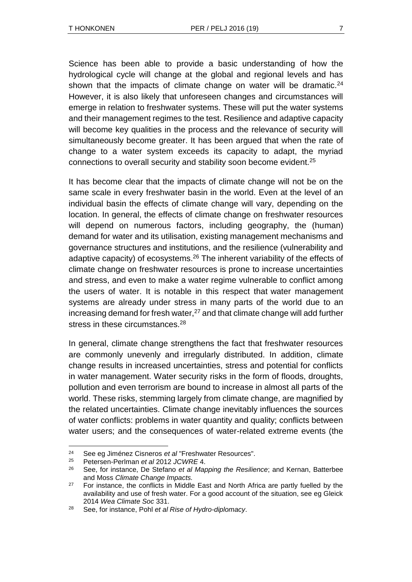Science has been able to provide a basic understanding of how the hydrological cycle will change at the global and regional levels and has shown that the impacts of climate change on water will be dramatic. $24$ However, it is also likely that unforeseen changes and circumstances will emerge in relation to freshwater systems. These will put the water systems and their management regimes to the test. Resilience and adaptive capacity will become key qualities in the process and the relevance of security will simultaneously become greater. It has been argued that when the rate of change to a water system exceeds its capacity to adapt, the myriad connections to overall security and stability soon become evident.<sup>25</sup>

It has become clear that the impacts of climate change will not be on the same scale in every freshwater basin in the world. Even at the level of an individual basin the effects of climate change will vary, depending on the location. In general, the effects of climate change on freshwater resources will depend on numerous factors, including geography, the (human) demand for water and its utilisation, existing management mechanisms and governance structures and institutions, and the resilience (vulnerability and adaptive capacity) of ecosystems.<sup>26</sup> The inherent variability of the effects of climate change on freshwater resources is prone to increase uncertainties and stress, and even to make a water regime vulnerable to conflict among the users of water. It is notable in this respect that water management systems are already under stress in many parts of the world due to an increasing demand for fresh water, $27$  and that climate change will add further stress in these circumstances.<sup>28</sup>

In general, climate change strengthens the fact that freshwater resources are commonly unevenly and irregularly distributed. In addition, climate change results in increased uncertainties, stress and potential for conflicts in water management. Water security risks in the form of floods, droughts, pollution and even terrorism are bound to increase in almost all parts of the world. These risks, stemming largely from climate change, are magnified by the related uncertainties. Climate change inevitably influences the sources of water conflicts: problems in water quantity and quality; conflicts between water users; and the consequences of water-related extreme events (the

l

<sup>24</sup> See eg Jiménez Cisneros *et al* "Freshwater Resources".

<sup>25</sup> Petersen-Perlman *et al* 2012 *JCWRE* 4.

<sup>26</sup> See, for instance, De Stefano *et al Mapping the Resilience*; and Kernan, Batterbee and Moss *Climate Change Impacts.*

 $27$  For instance, the conflicts in Middle East and North Africa are partly fuelled by the availability and use of fresh water. For a good account of the situation, see eg Gleick 2014 *Wea Climate Soc* 331.

<sup>28</sup> See, for instance, Pohl *et al Rise of Hydro-diplomacy*.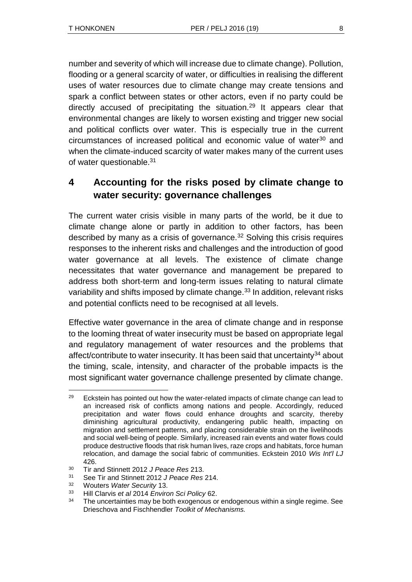number and severity of which will increase due to climate change). Pollution, flooding or a general scarcity of water, or difficulties in realising the different uses of water resources due to climate change may create tensions and spark a conflict between states or other actors, even if no party could be directly accused of precipitating the situation.<sup>29</sup> It appears clear that environmental changes are likely to worsen existing and trigger new social and political conflicts over water. This is especially true in the current circumstances of increased political and economic value of water<sup>30</sup> and when the climate-induced scarcity of water makes many of the current uses of water questionable.<sup>31</sup>

## **4 Accounting for the risks posed by climate change to water security: governance challenges**

The current water crisis visible in many parts of the world, be it due to climate change alone or partly in addition to other factors, has been described by many as a crisis of governance. $32$  Solving this crisis requires responses to the inherent risks and challenges and the introduction of good water governance at all levels. The existence of climate change necessitates that water governance and management be prepared to address both short-term and long-term issues relating to natural climate variability and shifts imposed by climate change.<sup>33</sup> In addition, relevant risks and potential conflicts need to be recognised at all levels.

Effective water governance in the area of climate change and in response to the looming threat of water insecurity must be based on appropriate legal and regulatory management of water resources and the problems that affect/contribute to water insecurity. It has been said that uncertainty<sup>34</sup> about the timing, scale, intensity, and character of the probable impacts is the most significant water governance challenge presented by climate change.

l

 $29$  Eckstein has pointed out how the water-related impacts of climate change can lead to an increased risk of conflicts among nations and people. Accordingly, reduced precipitation and water flows could enhance droughts and scarcity, thereby diminishing agricultural productivity, endangering public health, impacting on migration and settlement patterns, and placing considerable strain on the livelihoods and social well-being of people. Similarly, increased rain events and water flows could produce destructive floods that risk human lives, raze crops and habitats, force human relocation, and damage the social fabric of communities. Eckstein 2010 *Wis Int'l LJ* 426.

<sup>30</sup> Tir and Stinnett 2012 *J Peace Res* 213.

<sup>31</sup> See Tir and Stinnett 2012 *J Peace Res* 214.

<sup>32</sup> Wouters *Water Security* 13.

<sup>33</sup> Hill Clarvis *et al* 2014 *Environ Sci Policy* 62.

 $34$  The uncertainties may be both exogenous or endogenous within a single regime. See Drieschova and Fischhendler *Toolkit of Mechanisms.*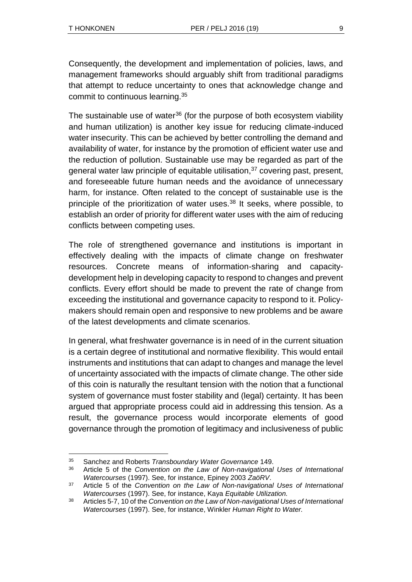Consequently, the development and implementation of policies, laws, and management frameworks should arguably shift from traditional paradigms that attempt to reduce uncertainty to ones that acknowledge change and commit to continuous learning.<sup>35</sup>

The sustainable use of water<sup>36</sup> (for the purpose of both ecosystem viability and human utilization) is another key issue for reducing climate-induced water insecurity. This can be achieved by better controlling the demand and availability of water, for instance by the promotion of efficient water use and the reduction of pollution. Sustainable use may be regarded as part of the general water law principle of equitable utilisation,<sup>37</sup> covering past, present, and foreseeable future human needs and the avoidance of unnecessary harm, for instance. Often related to the concept of sustainable use is the principle of the prioritization of water uses.<sup>38</sup> It seeks, where possible, to establish an order of priority for different water uses with the aim of reducing conflicts between competing uses.

The role of strengthened governance and institutions is important in effectively dealing with the impacts of climate change on freshwater resources. Concrete means of information-sharing and capacitydevelopment help in developing capacity to respond to changes and prevent conflicts. Every effort should be made to prevent the rate of change from exceeding the institutional and governance capacity to respond to it. Policymakers should remain open and responsive to new problems and be aware of the latest developments and climate scenarios.

In general, what freshwater governance is in need of in the current situation is a certain degree of institutional and normative flexibility. This would entail instruments and institutions that can adapt to changes and manage the level of uncertainty associated with the impacts of climate change. The other side of this coin is naturally the resultant tension with the notion that a functional system of governance must foster stability and (legal) certainty. It has been argued that appropriate process could aid in addressing this tension. As a result, the governance process would incorporate elements of good governance through the promotion of legitimacy and inclusiveness of public

l <sup>35</sup> Sanchez and Roberts *Transboundary Water Governance* 149.

<sup>36</sup> Article 5 of the *Convention on the Law of Non-navigational Uses of International Watercourses* (1997). See, for instance, Epiney 2003 *ZaöRV*.

<sup>37</sup> Article 5 of the *Convention on the Law of Non-navigational Uses of International Watercourses* (1997). See, for instance, Kaya *Equitable Utilization.*

<sup>38</sup> Articles 5-7, 10 of the *Convention on the Law of Non-navigational Uses of International Watercourses* (1997). See, for instance, Winkler *Human Right to Water.*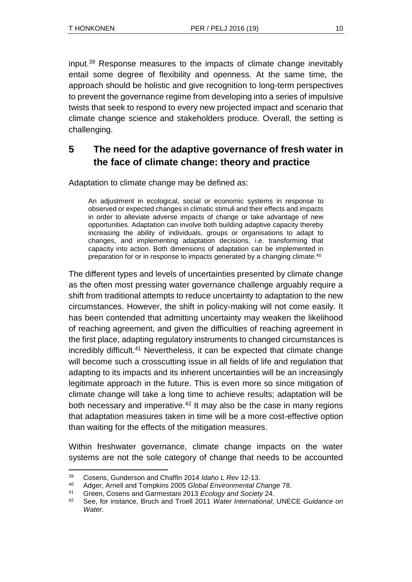input.<sup>39</sup> Response measures to the impacts of climate change inevitably entail some degree of flexibility and openness. At the same time, the approach should be holistic and give recognition to long-term perspectives to prevent the governance regime from developing into a series of impulsive twists that seek to respond to every new projected impact and scenario that climate change science and stakeholders produce. Overall, the setting is challenging.

# **5 The need for the adaptive governance of fresh water in the face of climate change: theory and practice**

Adaptation to climate change may be defined as:

An adjustment in ecological, social or economic systems in response to observed or expected changes in climatic stimuli and their effects and impacts in order to alleviate adverse impacts of change or take advantage of new opportunities. Adaptation can involve both building adaptive capacity thereby increasing the ability of individuals, groups or organisations to adapt to changes, and implementing adaptation decisions, i.e. transforming that capacity into action. Both dimensions of adaptation can be implemented in preparation for or in response to impacts generated by a changing climate.<sup>40</sup>

The different types and levels of uncertainties presented by climate change as the often most pressing water governance challenge arguably require a shift from traditional attempts to reduce uncertainty to adaptation to the new circumstances. However, the shift in policy-making will not come easily. It has been contended that admitting uncertainty may weaken the likelihood of reaching agreement, and given the difficulties of reaching agreement in the first place, adapting regulatory instruments to changed circumstances is incredibly difficult.<sup>41</sup> Nevertheless, it can be expected that climate change will become such a crosscutting issue in all fields of life and regulation that adapting to its impacts and its inherent uncertainties will be an increasingly legitimate approach in the future. This is even more so since mitigation of climate change will take a long time to achieve results; adaptation will be both necessary and imperative.<sup>42</sup> It may also be the case in many regions that adaptation measures taken in time will be a more cost-effective option than waiting for the effects of the mitigation measures.

Within freshwater governance, climate change impacts on the water systems are not the sole category of change that needs to be accounted

l <sup>39</sup> Cosens, Gunderson and Chaffin 2014 *Idaho L Rev* 12-13.

<sup>40</sup> Adger, Arnell and Tompkins 2005 *Global Environmental Change* 78.

<sup>41</sup> Green, Cosens and Garmestani 2013 *Ecology and Society* 24.

<sup>42</sup> See, for instance, Bruch and Troell 2011 *Water International*; UNECE *Guidance on Water*.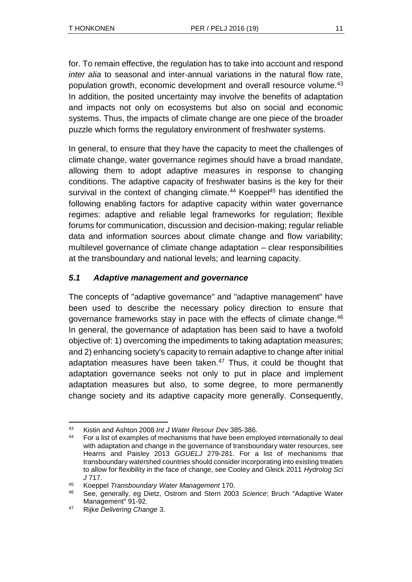for. To remain effective, the regulation has to take into account and respond *inter alia* to seasonal and inter-annual variations in the natural flow rate, population growth, economic development and overall resource volume.<sup>43</sup> In addition, the posited uncertainty may involve the benefits of adaptation and impacts not only on ecosystems but also on social and economic systems. Thus, the impacts of climate change are one piece of the broader puzzle which forms the regulatory environment of freshwater systems.

In general, to ensure that they have the capacity to meet the challenges of climate change, water governance regimes should have a broad mandate, allowing them to adopt adaptive measures in response to changing conditions. The adaptive capacity of freshwater basins is the key for their survival in the context of changing climate.<sup>44</sup> Koeppel<sup>45</sup> has identified the following enabling factors for adaptive capacity within water governance regimes: adaptive and reliable legal frameworks for regulation; flexible forums for communication, discussion and decision-making; regular reliable data and information sources about climate change and flow variability; multilevel governance of climate change adaptation – clear responsibilities at the transboundary and national levels; and learning capacity.

### *5.1 Adaptive management and governance*

The concepts of "adaptive governance" and "adaptive management" have been used to describe the necessary policy direction to ensure that governance frameworks stay in pace with the effects of climate change.<sup>46</sup> In general, the governance of adaptation has been said to have a twofold objective of: 1) overcoming the impediments to taking adaptation measures; and 2) enhancing society's capacity to remain adaptive to change after initial adaptation measures have been taken.<sup>47</sup> Thus, it could be thought that adaptation governance seeks not only to put in place and implement adaptation measures but also, to some degree, to more permanently change society and its adaptive capacity more generally. Consequently,

l <sup>43</sup> Kistin and Ashton 2008 *Int J Water Resour Dev* 385-386.

<sup>&</sup>lt;sup>44</sup> For a list of examples of mechanisms that have been employed internationally to deal with adaptation and change in the governance of transboundary water resources, see Hearns and Paisley 2013 *GGUELJ* 279-281. For a list of mechanisms that transboundary watershed countries should consider incorporating into existing treaties to allow for flexibility in the face of change, see Cooley and Gleick 2011 *Hydrolog Sci J* 717.

<sup>45</sup> Koeppel *Transboundary Water Management* 170.

<sup>46</sup> See, generally, eg Dietz, Ostrom and Stern 2003 *Science*; Bruch "Adaptive Water Management" 91-92.

<sup>47</sup> Rijke *Delivering Change* 3.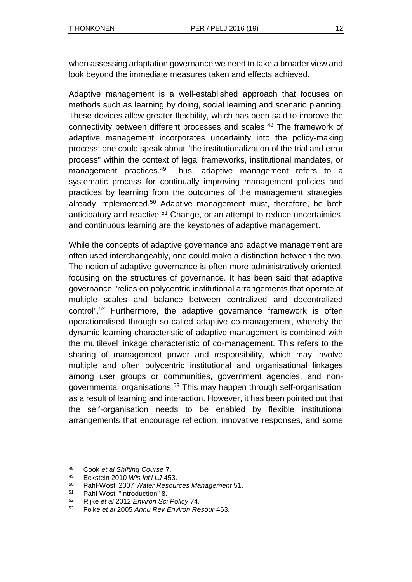when assessing adaptation governance we need to take a broader view and look beyond the immediate measures taken and effects achieved.

Adaptive management is a well-established approach that focuses on methods such as learning by doing, social learning and scenario planning. These devices allow greater flexibility, which has been said to improve the connectivity between different processes and scales.<sup>48</sup> The framework of adaptive management incorporates uncertainty into the policy-making process; one could speak about "the institutionalization of the trial and error process" within the context of legal frameworks, institutional mandates, or management practices.<sup>49</sup> Thus, adaptive management refers to a systematic process for continually improving management policies and practices by learning from the outcomes of the management strategies already implemented.<sup>50</sup> Adaptive management must, therefore, be both anticipatory and reactive.<sup>51</sup> Change, or an attempt to reduce uncertainties, and continuous learning are the keystones of adaptive management.

While the concepts of adaptive governance and adaptive management are often used interchangeably, one could make a distinction between the two. The notion of adaptive governance is often more administratively oriented, focusing on the structures of governance. It has been said that adaptive governance "relies on polycentric institutional arrangements that operate at multiple scales and balance between centralized and decentralized control". <sup>52</sup> Furthermore, the adaptive governance framework is often operationalised through so-called adaptive co-management, whereby the dynamic learning characteristic of adaptive management is combined with the multilevel linkage characteristic of co-management. This refers to the sharing of management power and responsibility, which may involve multiple and often polycentric institutional and organisational linkages among user groups or communities, government agencies, and nongovernmental organisations.<sup>53</sup> This may happen through self-organisation, as a result of learning and interaction. However, it has been pointed out that the self-organisation needs to be enabled by flexible institutional arrangements that encourage reflection, innovative responses, and some

l

<sup>48</sup> Cook *et al Shifting Course* 7.

<sup>49</sup> Eckstein 2010 *Wis Int'l LJ* 453.

<sup>50</sup> Pahl-Wostl 2007 *Water Resources Management* 51.

<sup>51</sup> Pahl-Wostl "Introduction" 8.

<sup>52</sup> Rijke *et al* 2012 *Environ Sci Policy* 74.

<sup>53</sup> Folke *et al* 2005 *Annu Rev Environ Resour* 463.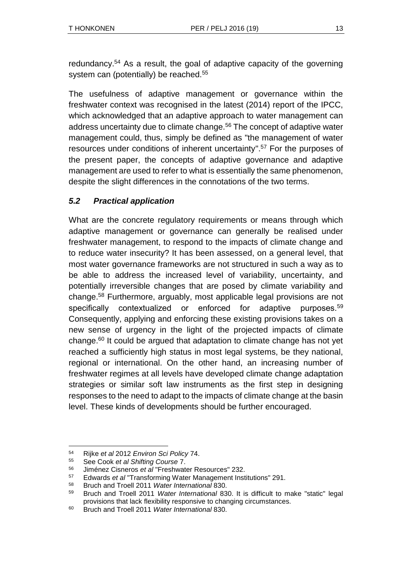redundancy.<sup>54</sup> As a result, the goal of adaptive capacity of the governing system can (potentially) be reached.<sup>55</sup>

The usefulness of adaptive management or governance within the freshwater context was recognised in the latest (2014) report of the IPCC, which acknowledged that an adaptive approach to water management can address uncertainty due to climate change.<sup>56</sup> The concept of adaptive water management could, thus, simply be defined as "the management of water resources under conditions of inherent uncertainty".<sup>57</sup> For the purposes of the present paper, the concepts of adaptive governance and adaptive management are used to refer to what is essentially the same phenomenon, despite the slight differences in the connotations of the two terms.

### *5.2 Practical application*

What are the concrete regulatory requirements or means through which adaptive management or governance can generally be realised under freshwater management, to respond to the impacts of climate change and to reduce water insecurity? It has been assessed, on a general level, that most water governance frameworks are not structured in such a way as to be able to address the increased level of variability, uncertainty, and potentially irreversible changes that are posed by climate variability and change.<sup>58</sup> Furthermore, arguably, most applicable legal provisions are not specifically contextualized or enforced for adaptive purposes.<sup>59</sup> Consequently, applying and enforcing these existing provisions takes on a new sense of urgency in the light of the projected impacts of climate change. $60$  It could be argued that adaptation to climate change has not yet reached a sufficiently high status in most legal systems, be they national, regional or international. On the other hand, an increasing number of freshwater regimes at all levels have developed climate change adaptation strategies or similar soft law instruments as the first step in designing responses to the need to adapt to the impacts of climate change at the basin level. These kinds of developments should be further encouraged.

l

<sup>54</sup> Rijke *et al* 2012 *Environ Sci Policy* 74.

<sup>55</sup> See Cook *et al Shifting Course* 7.

<sup>56</sup> Jiménez Cisneros *et al* "Freshwater Resources" 232.

<sup>57</sup> Edwards *et al* "Transforming Water Management Institutions" 291.

<sup>58</sup> Bruch and Troell 2011 *Water International* 830.

<sup>59</sup> Bruch and Troell 2011 *Water International* 830. It is difficult to make "static" legal provisions that lack flexibility responsive to changing circumstances.

<sup>60</sup> Bruch and Troell 2011 *Water International* 830.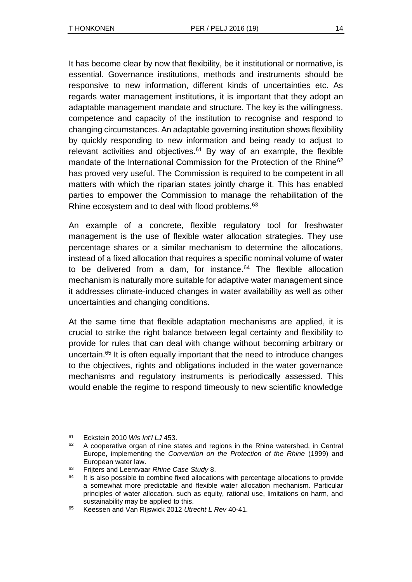It has become clear by now that flexibility, be it institutional or normative, is essential. Governance institutions, methods and instruments should be responsive to new information, different kinds of uncertainties etc. As regards water management institutions, it is important that they adopt an adaptable management mandate and structure. The key is the willingness, competence and capacity of the institution to recognise and respond to changing circumstances. An adaptable governing institution shows flexibility by quickly responding to new information and being ready to adjust to relevant activities and objectives.<sup>61</sup> By way of an example, the flexible mandate of the International Commission for the Protection of the Rhine<sup>62</sup> has proved very useful. The Commission is required to be competent in all matters with which the riparian states jointly charge it. This has enabled parties to empower the Commission to manage the rehabilitation of the Rhine ecosystem and to deal with flood problems.<sup>63</sup>

An example of a concrete, flexible regulatory tool for freshwater management is the use of flexible water allocation strategies. They use percentage shares or a similar mechanism to determine the allocations, instead of a fixed allocation that requires a specific nominal volume of water to be delivered from a dam, for instance. $64$  The flexible allocation mechanism is naturally more suitable for adaptive water management since it addresses climate-induced changes in water availability as well as other uncertainties and changing conditions.

At the same time that flexible adaptation mechanisms are applied, it is crucial to strike the right balance between legal certainty and flexibility to provide for rules that can deal with change without becoming arbitrary or uncertain.<sup>65</sup> It is often equally important that the need to introduce changes to the objectives, rights and obligations included in the water governance mechanisms and regulatory instruments is periodically assessed. This would enable the regime to respond timeously to new scientific knowledge

l <sup>61</sup> Eckstein 2010 *Wis Int'l LJ* 453.

 $62$  A cooperative organ of nine states and regions in the Rhine watershed, in Central Europe, implementing the *Convention on the Protection of the Rhine* (1999) and European water law.

<sup>63</sup> Frijters and Leentvaar *Rhine Case Study* 8.

 $64$  It is also possible to combine fixed allocations with percentage allocations to provide a somewhat more predictable and flexible water allocation mechanism. Particular principles of water allocation, such as equity, rational use, limitations on harm, and sustainability may be applied to this.

<sup>65</sup> Keessen and Van Rijswick 2012 *Utrecht L Rev* 40-41.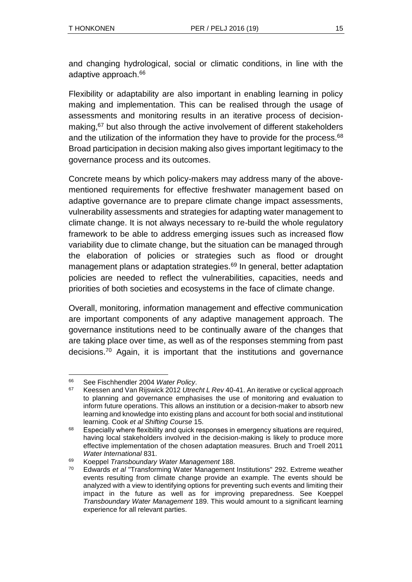and changing hydrological, social or climatic conditions, in line with the adaptive approach.<sup>66</sup>

Flexibility or adaptability are also important in enabling learning in policy making and implementation. This can be realised through the usage of assessments and monitoring results in an iterative process of decisionmaking,<sup>67</sup> but also through the active involvement of different stakeholders and the utilization of the information they have to provide for the process.<sup>68</sup> Broad participation in decision making also gives important legitimacy to the governance process and its outcomes.

Concrete means by which policy-makers may address many of the abovementioned requirements for effective freshwater management based on adaptive governance are to prepare climate change impact assessments, vulnerability assessments and strategies for adapting water management to climate change. It is not always necessary to re-build the whole regulatory framework to be able to address emerging issues such as increased flow variability due to climate change, but the situation can be managed through the elaboration of policies or strategies such as flood or drought management plans or adaptation strategies.<sup>69</sup> In general, better adaptation policies are needed to reflect the vulnerabilities, capacities, needs and priorities of both societies and ecosystems in the face of climate change.

Overall, monitoring, information management and effective communication are important components of any adaptive management approach. The governance institutions need to be continually aware of the changes that are taking place over time, as well as of the responses stemming from past decisions.<sup>70</sup> Again, it is important that the institutions and governance

l <sup>66</sup> See Fischhendler 2004 *Water Policy*.

<sup>67</sup> Keessen and Van Rijswick 2012 *Utrecht L Rev* 40-41. An iterative or cyclical approach to planning and governance emphasises the use of monitoring and evaluation to inform future operations. This allows an institution or a decision-maker to absorb new learning and knowledge into existing plans and account for both social and institutional learning. Cook *et al Shifting Course* 15.

<sup>&</sup>lt;sup>68</sup> Especially where flexibility and quick responses in emergency situations are required, having local stakeholders involved in the decision-making is likely to produce more effective implementation of the chosen adaptation measures. Bruch and Troell 2011 *Water International* 831.

<sup>69</sup> Koeppel *Transboundary Water Management* 188.

<sup>70</sup> Edwards *et al* "Transforming Water Management Institutions" 292. Extreme weather events resulting from climate change provide an example. The events should be analyzed with a view to identifying options for preventing such events and limiting their impact in the future as well as for improving preparedness. See Koeppel *Transboundary Water Management* 189. This would amount to a significant learning experience for all relevant parties.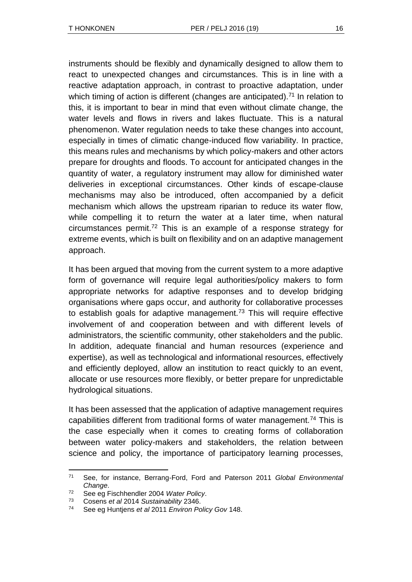instruments should be flexibly and dynamically designed to allow them to react to unexpected changes and circumstances. This is in line with a reactive adaptation approach, in contrast to proactive adaptation, under which timing of action is different (changes are anticipated).<sup>71</sup> In relation to this, it is important to bear in mind that even without climate change, the water levels and flows in rivers and lakes fluctuate. This is a natural phenomenon. Water regulation needs to take these changes into account, especially in times of climatic change-induced flow variability. In practice, this means rules and mechanisms by which policy-makers and other actors prepare for droughts and floods. To account for anticipated changes in the quantity of water, a regulatory instrument may allow for diminished water deliveries in exceptional circumstances. Other kinds of escape-clause mechanisms may also be introduced, often accompanied by a deficit mechanism which allows the upstream riparian to reduce its water flow, while compelling it to return the water at a later time, when natural circumstances permit.<sup>72</sup> This is an example of a response strategy for extreme events, which is built on flexibility and on an adaptive management approach.

It has been argued that moving from the current system to a more adaptive form of governance will require legal authorities/policy makers to form appropriate networks for adaptive responses and to develop bridging organisations where gaps occur, and authority for collaborative processes to establish goals for adaptive management.<sup>73</sup> This will require effective involvement of and cooperation between and with different levels of administrators, the scientific community, other stakeholders and the public. In addition, adequate financial and human resources (experience and expertise), as well as technological and informational resources, effectively and efficiently deployed, allow an institution to react quickly to an event, allocate or use resources more flexibly, or better prepare for unpredictable hydrological situations.

It has been assessed that the application of adaptive management requires capabilities different from traditional forms of water management.<sup>74</sup> This is the case especially when it comes to creating forms of collaboration between water policy-makers and stakeholders, the relation between science and policy, the importance of participatory learning processes,

l <sup>71</sup> See, for instance, Berrang-Ford, Ford and Paterson 2011 *Global Environmental Change*.

<sup>72</sup> See eg Fischhendler 2004 *Water Policy*.

<sup>73</sup> Cosens *et al* 2014 *Sustainability* 2346.

<sup>74</sup> See eg Huntjens *et al* 2011 *Environ Policy Gov* 148.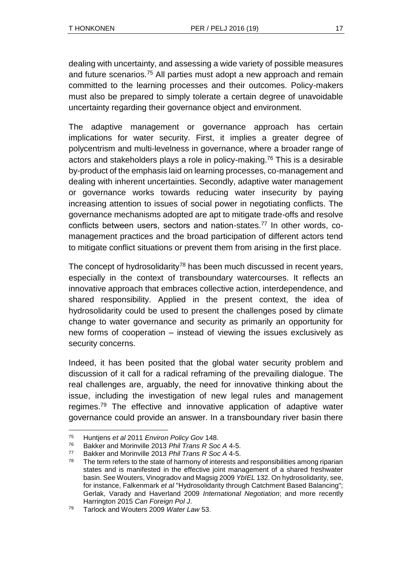dealing with uncertainty, and assessing a wide variety of possible measures and future scenarios.<sup>75</sup> All parties must adopt a new approach and remain committed to the learning processes and their outcomes. Policy-makers must also be prepared to simply tolerate a certain degree of unavoidable uncertainty regarding their governance object and environment.

The adaptive management or governance approach has certain implications for water security. First, it implies a greater degree of polycentrism and multi-levelness in governance, where a broader range of actors and stakeholders plays a role in policy-making.<sup>76</sup> This is a desirable by-product of the emphasis laid on learning processes, co-management and dealing with inherent uncertainties. Secondly, adaptive water management or governance works towards reducing water insecurity by paying increasing attention to issues of social power in negotiating conflicts. The governance mechanisms adopted are apt to mitigate trade-offs and resolve conflicts between users, sectors and nation-states.<sup>77</sup> In other words, comanagement practices and the broad participation of different actors tend to mitigate conflict situations or prevent them from arising in the first place.

The concept of hydrosolidarity<sup>78</sup> has been much discussed in recent years, especially in the context of transboundary watercourses. It reflects an innovative approach that embraces collective action, interdependence, and shared responsibility. Applied in the present context, the idea of hydrosolidarity could be used to present the challenges posed by climate change to water governance and security as primarily an opportunity for new forms of cooperation – instead of viewing the issues exclusively as security concerns.

Indeed, it has been posited that the global water security problem and discussion of it call for a radical reframing of the prevailing dialogue. The real challenges are, arguably, the need for innovative thinking about the issue, including the investigation of new legal rules and management regimes.<sup>79</sup> The effective and innovative application of adaptive water governance could provide an answer. In a transboundary river basin there

l <sup>75</sup> Huntjens *et al* 2011 *Environ Policy Gov* 148.

<sup>76</sup> Bakker and Morinville 2013 *Phil Trans R Soc A* 4-5.

<sup>77</sup> Bakker and Morinville 2013 *Phil Trans R Soc A* 4-5.

 $78$  The term refers to the state of harmony of interests and responsibilities among riparian states and is manifested in the effective joint management of a shared freshwater basin. See Wouters, Vinogradov and Magsig 2009 *YbIEL* 132. On hydrosolidarity, see, for instance, Falkenmark *et al* "Hydrosolidarity through Catchment Based Balancing"; Gerlak, Varady and Haverland 2009 *International Negotiation*; and more recently Harrington 2015 *Can Foreign Pol J*.

<sup>79</sup> Tarlock and Wouters 2009 *Water Law* 53.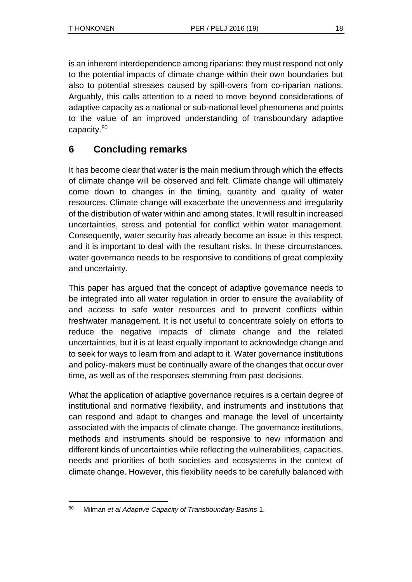is an inherent interdependence among riparians: they must respond not only to the potential impacts of climate change within their own boundaries but also to potential stresses caused by spill-overs from co-riparian nations. Arguably, this calls attention to a need to move beyond considerations of adaptive capacity as a national or sub-national level phenomena and points to the value of an improved understanding of transboundary adaptive capacity.<sup>80</sup>

### **6 Concluding remarks**

It has become clear that water is the main medium through which the effects of climate change will be observed and felt. Climate change will ultimately come down to changes in the timing, quantity and quality of water resources. Climate change will exacerbate the unevenness and irregularity of the distribution of water within and among states. It will result in increased uncertainties, stress and potential for conflict within water management. Consequently, water security has already become an issue in this respect, and it is important to deal with the resultant risks. In these circumstances, water governance needs to be responsive to conditions of great complexity and uncertainty.

This paper has argued that the concept of adaptive governance needs to be integrated into all water regulation in order to ensure the availability of and access to safe water resources and to prevent conflicts within freshwater management. It is not useful to concentrate solely on efforts to reduce the negative impacts of climate change and the related uncertainties, but it is at least equally important to acknowledge change and to seek for ways to learn from and adapt to it. Water governance institutions and policy-makers must be continually aware of the changes that occur over time, as well as of the responses stemming from past decisions.

What the application of adaptive governance requires is a certain degree of institutional and normative flexibility, and instruments and institutions that can respond and adapt to changes and manage the level of uncertainty associated with the impacts of climate change. The governance institutions, methods and instruments should be responsive to new information and different kinds of uncertainties while reflecting the vulnerabilities, capacities, needs and priorities of both societies and ecosystems in the context of climate change. However, this flexibility needs to be carefully balanced with

l <sup>80</sup> Milman *et al Adaptive Capacity of Transboundary Basins* 1.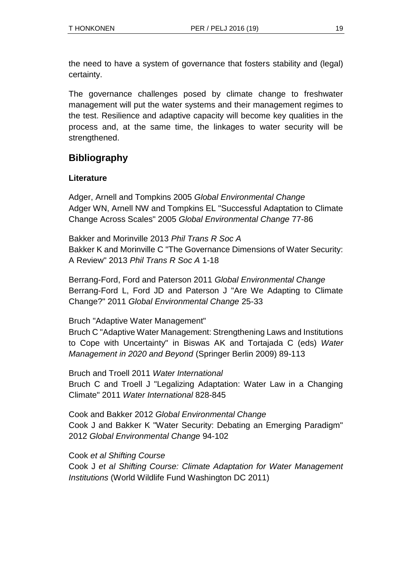the need to have a system of governance that fosters stability and (legal) certainty.

The governance challenges posed by climate change to freshwater management will put the water systems and their management regimes to the test. Resilience and adaptive capacity will become key qualities in the process and, at the same time, the linkages to water security will be strengthened.

### **Bibliography**

### **Literature**

Adger, Arnell and Tompkins 2005 *Global Environmental Change* Adger WN, Arnell NW and Tompkins EL "Successful Adaptation to Climate Change Across Scales" 2005 *Global Environmental Change* 77-86

Bakker and Morinville 2013 *Phil Trans R Soc A* Bakker K and Morinville C "The Governance Dimensions of Water Security: A Review" 2013 *Phil Trans R Soc A* 1-18

Berrang-Ford, Ford and Paterson 2011 *Global Environmental Change* Berrang-Ford L, Ford JD and Paterson J "Are We Adapting to Climate Change?" 2011 *Global Environmental Change* 25-33

Bruch "Adaptive Water Management"

Bruch C "Adaptive Water Management: Strengthening Laws and Institutions to Cope with Uncertainty" in Biswas AK and Tortajada C (eds) *Water Management in 2020 and Beyond* (Springer Berlin 2009) 89-113

Bruch and Troell 2011 *Water International* Bruch C and Troell J "Legalizing Adaptation: Water Law in a Changing Climate" 2011 *Water International* 828-845

Cook and Bakker 2012 *Global Environmental Change* Cook J and Bakker K "Water Security: Debating an Emerging Paradigm" 2012 *Global Environmental Change* 94-102

Cook *et al Shifting Course*

Cook J *et al Shifting Course: Climate Adaptation for Water Management Institutions* (World Wildlife Fund Washington DC 2011)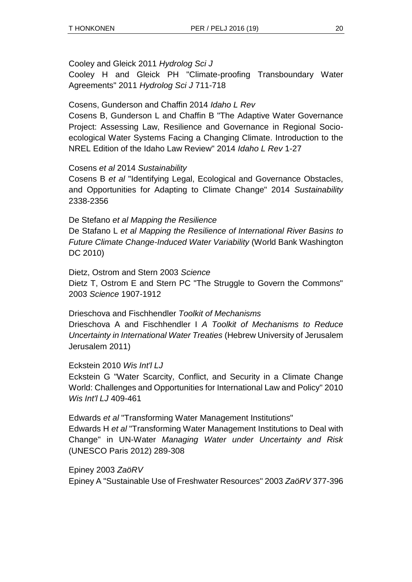#### Cooley and Gleick 2011 *Hydrolog Sci J*

Cooley H and Gleick PH "Climate-proofing Transboundary Water Agreements" 2011 *Hydrolog Sci J* 711-718

#### Cosens, Gunderson and Chaffin 2014 *Idaho L Rev*

Cosens B, Gunderson L and Chaffin B "The Adaptive Water Governance Project: Assessing Law, Resilience and Governance in Regional Socioecological Water Systems Facing a Changing Climate. Introduction to the NREL Edition of the Idaho Law Review" 2014 *Idaho L Rev* 1-27

#### Cosens *et al* 2014 *Sustainability*

Cosens B *et al* "Identifying Legal, Ecological and Governance Obstacles, and Opportunities for Adapting to Climate Change" 2014 *Sustainability* 2338-2356

#### De Stefano *et al Mapping the Resilience*

De Stafano L *et al Mapping the Resilience of International River Basins to Future Climate Change-Induced Water Variability* (World Bank Washington DC 2010)

Dietz, Ostrom and Stern 2003 *Science* Dietz T, Ostrom E and Stern PC "The Struggle to Govern the Commons" 2003 *Science* 1907-1912

#### Drieschova and Fischhendler *Toolkit of Mechanisms*

Drieschova A and Fischhendler I *A Toolkit of Mechanisms to Reduce Uncertainty in International Water Treaties* (Hebrew University of Jerusalem Jerusalem 2011)

#### Eckstein 2010 *Wis Int'l LJ*

Eckstein G "Water Scarcity, Conflict, and Security in a Climate Change World: Challenges and Opportunities for International Law and Policy" 2010 *Wis Int'l LJ* 409-461

Edwards *et al* "Transforming Water Management Institutions"

Edwards H *et al* "Transforming Water Management Institutions to Deal with Change" in UN-Water *Managing Water under Uncertainty and Risk* (UNESCO Paris 2012) 289-308

Epiney 2003 *ZaöRV* Epiney A "Sustainable Use of Freshwater Resources" 2003 *ZaöRV* 377-396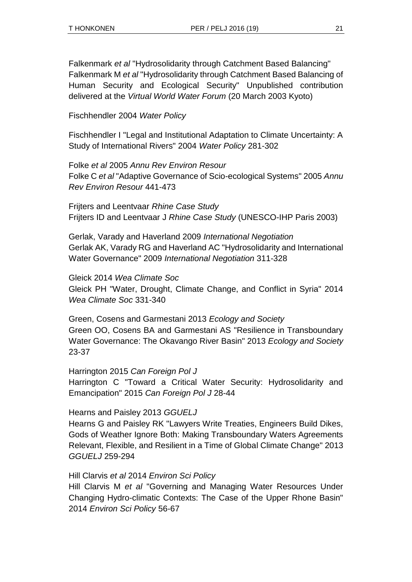Falkenmark *et al* "Hydrosolidarity through Catchment Based Balancing" Falkenmark M *et al* "Hydrosolidarity through Catchment Based Balancing of Human Security and Ecological Security" Unpublished contribution delivered at the *Virtual World Water Forum* (20 March 2003 Kyoto)

Fischhendler 2004 *Water Policy*

Fischhendler I "Legal and Institutional Adaptation to Climate Uncertainty: A Study of International Rivers" 2004 *Water Policy* 281-302

Folke *et al* 2005 *Annu Rev Environ Resour* Folke C *et al* "Adaptive Governance of Scio-ecological Systems" 2005 *Annu Rev Environ Resour* 441-473

Frijters and Leentvaar *Rhine Case Study* Frijters ID and Leentvaar J *Rhine Case Study* (UNESCO-IHP Paris 2003)

Gerlak, Varady and Haverland 2009 *International Negotiation* Gerlak AK, Varady RG and Haverland AC "Hydrosolidarity and International Water Governance" 2009 *International Negotiation* 311-328

Gleick 2014 *Wea Climate Soc* Gleick PH "Water, Drought, Climate Change, and Conflict in Syria" 2014 *Wea Climate Soc* 331-340

Green, Cosens and Garmestani 2013 *Ecology and Society* Green OO, Cosens BA and Garmestani AS "Resilience in Transboundary Water Governance: The Okavango River Basin" 2013 *Ecology and Society* 23-37

Harrington 2015 *Can Foreign Pol J* Harrington C "Toward a Critical Water Security: Hydrosolidarity and Emancipation" 2015 *Can Foreign Pol J* 28-44

#### Hearns and Paisley 2013 *GGUELJ*

Hearns G and Paisley RK "Lawyers Write Treaties, Engineers Build Dikes, Gods of Weather Ignore Both: Making Transboundary Waters Agreements Relevant, Flexible, and Resilient in a Time of Global Climate Change" 2013 *GGUELJ* 259-294

#### Hill Clarvis *et al* 2014 *Environ Sci Policy*

Hill Clarvis M *et al* "Governing and Managing Water Resources Under Changing Hydro-climatic Contexts: The Case of the Upper Rhone Basin" 2014 *Environ Sci Policy* 56-67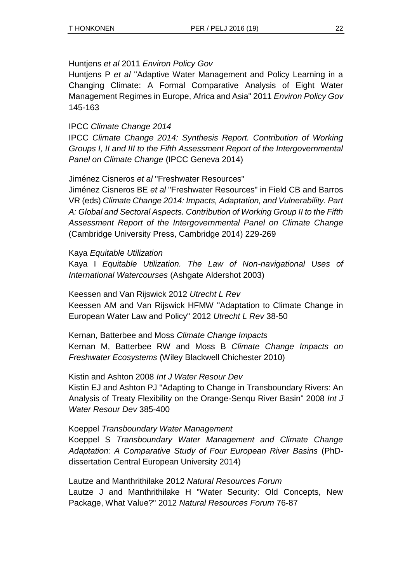#### Huntjens *et al* 2011 *Environ Policy Gov*

Huntjens P *et al* "Adaptive Water Management and Policy Learning in a Changing Climate: A Formal Comparative Analysis of Eight Water Management Regimes in Europe, Africa and Asia" 2011 *Environ Policy Gov*  145-163

#### IPCC *Climate Change 2014*

IPCC *Climate Change 2014: Synthesis Report. Contribution of Working Groups I, II and III to the Fifth Assessment Report of the Intergovernmental Panel on Climate Change* (IPCC Geneva 2014)

Jiménez Cisneros *et al* "Freshwater Resources"

Jiménez Cisneros BE *et al* "Freshwater Resources" in Field CB and Barros VR (eds) *Climate Change 2014: Impacts, Adaptation, and Vulnerability. Part A: Global and Sectoral Aspects. Contribution of Working Group II to the Fifth Assessment Report of the Intergovernmental Panel on Climate Change* (Cambridge University Press, Cambridge 2014) 229-269

#### Kaya *Equitable Utilization*

Kaya I *Equitable Utilization. The Law of Non-navigational Uses of International Watercourses* (Ashgate Aldershot 2003)

Keessen and Van Rijswick 2012 *Utrecht L Rev*

Keessen AM and Van Rijswick HFMW "Adaptation to Climate Change in European Water Law and Policy" 2012 *Utrecht L Rev* 38-50

Kernan, Batterbee and Moss *Climate Change Impacts* Kernan M, Batterbee RW and Moss B *Climate Change Impacts on Freshwater Ecosystems* (Wiley Blackwell Chichester 2010)

Kistin and Ashton 2008 *Int J Water Resour Dev*

Kistin EJ and Ashton PJ "Adapting to Change in Transboundary Rivers: An Analysis of Treaty Flexibility on the Orange-Senqu River Basin" 2008 *Int J Water Resour Dev* 385-400

#### Koeppel *Transboundary Water Management*

Koeppel S *Transboundary Water Management and Climate Change Adaptation: A Comparative Study of Four European River Basins* (PhDdissertation Central European University 2014)

Lautze and Manthrithilake 2012 *Natural Resources Forum* Lautze J and Manthrithilake H "Water Security: Old Concepts, New Package, What Value?" 2012 *Natural Resources Forum* 76-87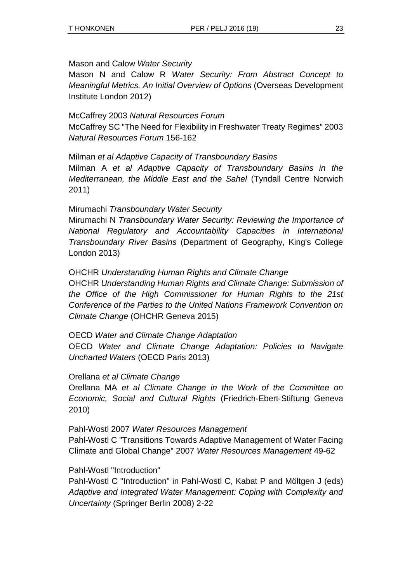#### Mason and Calow *Water Security*

Mason N and Calow R *Water Security: From Abstract Concept to Meaningful Metrics. An Initial Overview of Options* (Overseas Development Institute London 2012)

McCaffrey 2003 *Natural Resources Forum* McCaffrey SC "The Need for Flexibility in Freshwater Treaty Regimes" 2003 *Natural Resources Forum* 156-162

Milman *et al Adaptive Capacity of Transboundary Basins* Milman A *et al Adaptive Capacity of Transboundary Basins in the Mediterranean, the Middle East and the Sahel* (Tyndall Centre Norwich 2011)

#### Mirumachi *Transboundary Water Security*

Mirumachi N *Transboundary Water Security: Reviewing the Importance of National Regulatory and Accountability Capacities in International Transboundary River Basins* (Department of Geography, King's College London 2013)

#### OHCHR *Understanding Human Rights and Climate Change*

OHCHR *Understanding Human Rights and Climate Change: Submission of the Office of the High Commissioner for Human Rights to the 21st Conference of the Parties to the United Nations Framework Convention on Climate Change* (OHCHR Geneva 2015)

#### OECD *Water and Climate Change Adaptation*

OECD *Water and Climate Change Adaptation: Policies to Navigate Uncharted Waters* (OECD Paris 2013)

#### Orellana *et al Climate Change*

Orellana MA *et al Climate Change in the Work of the Committee on Economic, Social and Cultural Rights* (Friedrich‐Ebert‐Stiftung Geneva 2010)

#### Pahl-Wostl 2007 *Water Resources Management*

Pahl-Wostl C "Transitions Towards Adaptive Management of Water Facing Climate and Global Change" 2007 *Water Resources Management* 49-62

#### Pahl-Wostl "Introduction"

Pahl-Wostl C "Introduction" in Pahl-Wostl C, Kabat P and Möltgen J (eds) *Adaptive and Integrated Water Management: Coping with Complexity and Uncertainty* (Springer Berlin 2008) 2-22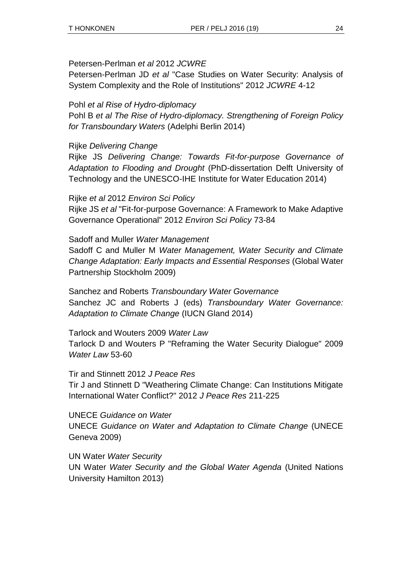#### Petersen-Perlman *et al* 2012 *JCWRE*

Petersen-Perlman JD *et al* "Case Studies on Water Security: Analysis of System Complexity and the Role of Institutions" 2012 *JCWRE* 4-12

#### Pohl *et al Rise of Hydro-diplomacy*

Pohl B *et al The Rise of Hydro-diplomacy. Strengthening of Foreign Policy for Transboundary Waters* (Adelphi Berlin 2014)

#### Rijke *Delivering Change*

Rijke JS *Delivering Change: Towards Fit-for-purpose Governance of Adaptation to Flooding and Drought* (PhD-dissertation Delft University of Technology and the UNESCO-IHE Institute for Water Education 2014)

#### Rijke *et al* 2012 *Environ Sci Policy*

Rijke JS *et al* "Fit-for-purpose Governance: A Framework to Make Adaptive Governance Operational" 2012 *Environ Sci Policy* 73-84

#### Sadoff and Muller *Water Management*

Sadoff C and Muller M *Water Management, Water Security and Climate Change Adaptation: Early Impacts and Essential Responses* (Global Water Partnership Stockholm 2009)

Sanchez and Roberts *Transboundary Water Governance* Sanchez JC and Roberts J (eds) *Transboundary Water Governance: Adaptation to Climate Change* (IUCN Gland 2014)

Tarlock and Wouters 2009 *Water Law* Tarlock D and Wouters P "Reframing the Water Security Dialogue" 2009 *Water Law* 53-60

Tir and Stinnett 2012 *J Peace Res* Tir J and Stinnett D "Weathering Climate Change: Can Institutions Mitigate International Water Conflict?" 2012 *J Peace Res* 211-225

UNECE *Guidance on Water* UNECE *Guidance on Water and Adaptation to Climate Change* (UNECE Geneva 2009)

UN Water *Water Security* UN Water *Water Security and the Global Water Agenda* (United Nations University Hamilton 2013)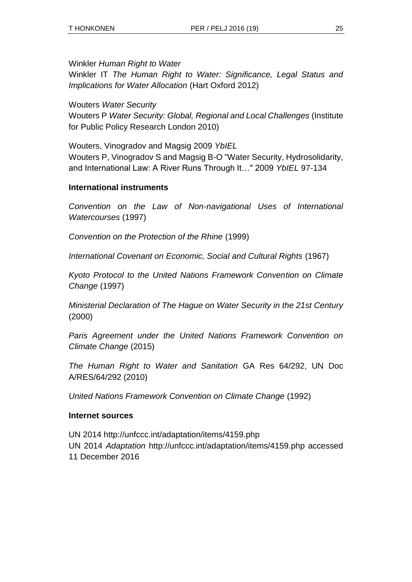Winkler *Human Right to Water*

Winkler IT *The Human Right to Water: Significance, Legal Status and Implications for Water Allocation* (Hart Oxford 2012)

Wouters *Water Security*

Wouters P *Water Security: Global, Regional and Local Challenges* (Institute for Public Policy Research London 2010)

Wouters, Vinogradov and Magsig 2009 *YbIEL*

Wouters P, Vinogradov S and Magsig B-O "Water Security, Hydrosolidarity, and International Law: A River Runs Through It…" 2009 *YbIEL* 97-134

#### **International instruments**

*Convention on the Law of Non-navigational Uses of International Watercourses* (1997)

*Convention on the Protection of the Rhine* (1999)

*International Covenant on Economic, Social and Cultural Rights* (1967)

*Kyoto Protocol to the United Nations Framework Convention on Climate Change* (1997)

*Ministerial Declaration of The Hague on Water Security in the 21st Century* (2000)

*Paris Agreement under the United Nations Framework Convention on Climate Change* (2015)

*The Human Right to Water and Sanitation* GA Res 64/292, UN Doc A/RES/64/292 (2010)

*United Nations Framework Convention on Climate Change* (1992)

#### **Internet sources**

UN 2014 http://unfccc.int/adaptation/items/4159.php UN 2014 *Adaptation* http://unfccc.int/adaptation/items/4159.php accessed 11 December 2016